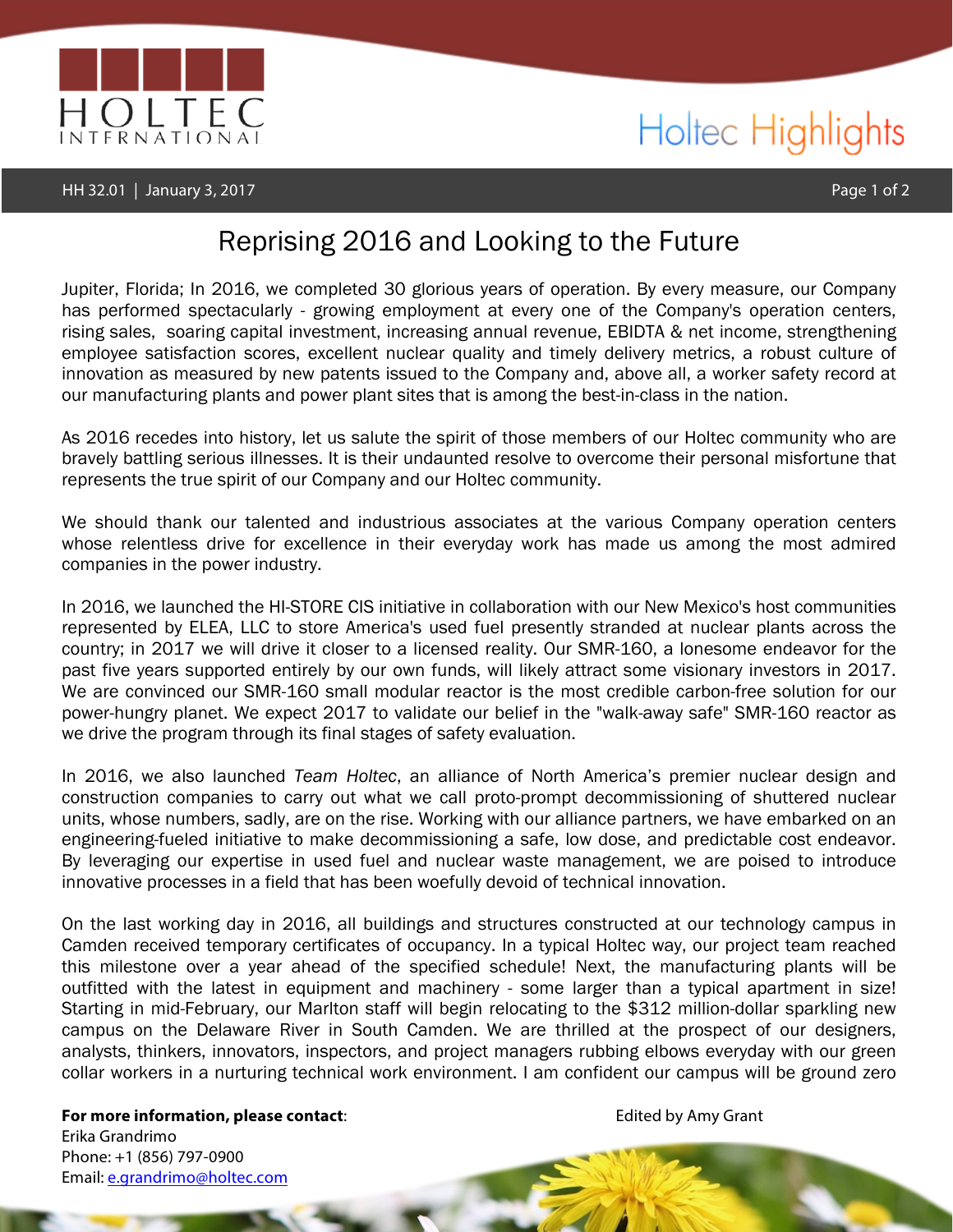

## Holtec Highlights

## Reprising 2016 and Looking to the Future

Jupiter, Florida; In 2016, we completed 30 glorious years of operation. By every measure, our Company has performed spectacularly - growing employment at every one of the Company's operation centers, rising sales, soaring capital investment, increasing annual revenue, EBIDTA & net income, strengthening employee satisfaction scores, excellent nuclear quality and timely delivery metrics, a robust culture of innovation as measured by new patents issued to the Company and, above all, a worker safety record at our manufacturing plants and power plant sites that is among the best-in-class in the nation.

As 2016 recedes into history, let us salute the spirit of those members of our Holtec community who are bravely battling serious illnesses. It is their undaunted resolve to overcome their personal misfortune that represents the true spirit of our Company and our Holtec community.

We should thank our talented and industrious associates at the various Company operation centers whose relentless drive for excellence in their everyday work has made us among the most admired companies in the power industry.

In 2016, we launched the HI-STORE CIS initiative in collaboration with our New Mexico's host communities represented by ELEA, LLC to store America's used fuel presently stranded at nuclear plants across the country; in 2017 we will drive it closer to a licensed reality. Our SMR-160, a lonesome endeavor for the past five years supported entirely by our own funds, will likely attract some visionary investors in 2017. We are convinced our SMR-160 small modular reactor is the most credible carbon-free solution for our power-hungry planet. We expect 2017 to validate our belief in the "walk-away safe" SMR-160 reactor as we drive the program through its final stages of safety evaluation.

In 2016, we also launched *Team Holtec*, an alliance of North America's premier nuclear design and construction companies to carry out what we call proto-prompt decommissioning of shuttered nuclear units, whose numbers, sadly, are on the rise. Working with our alliance partners, we have embarked on an engineering-fueled initiative to make decommissioning a safe, low dose, and predictable cost endeavor. By leveraging our expertise in used fuel and nuclear waste management, we are poised to introduce innovative processes in a field that has been woefully devoid of technical innovation.

On the last working day in 2016, all buildings and structures constructed at our technology campus in Camden received temporary certificates of occupancy. In a typical Holtec way, our project team reached this milestone over a year ahead of the specified schedule! Next, the manufacturing plants will be outfitted with the latest in equipment and machinery - some larger than a typical apartment in size! Starting in mid-February, our Marlton staff will begin relocating to the \$312 million-dollar sparkling new campus on the Delaware River in South Camden. We are thrilled at the prospect of our designers, analysts, thinkers, innovators, inspectors, and project managers rubbing elbows everyday with our green collar workers in a nurturing technical work environment. I am confident our campus will be ground zero

**For more information, please contact:** Entertainment of the edited by Amy Grant Erika Grandrimo Phone: +1 (856) 797-0900 Email: e.grandrimo@holtec.com